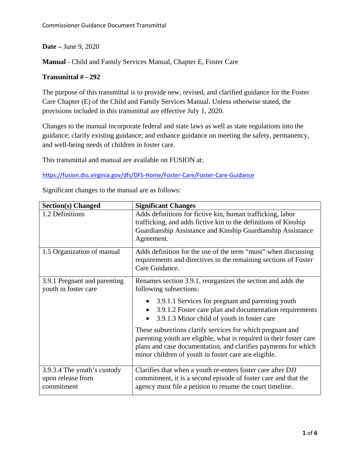**Date –** June 9, 2020

**Manual** - Child and Family Services Manual, Chapter E, Foster Care

## **Transmittal # - 292**

The purpose of this transmittal is to provide new, revised, and clarified guidance for the Foster Care Chapter (E) of the Child and Family Services Manual. Unless otherwise stated, the provisions included in this transmittal are effective July 1, 2020.

Changes to the manual incorporate federal and state laws as well as state regulations into the guidance; clarify existing guidance; and enhance guidance on meeting the safety, permanency, and well-being needs of children in foster care.

This transmittal and manual are available on FUSION at:

<https://fusion.dss.virginia.gov/dfs/DFS-Home/Foster-Care/Foster-Care-Guidance>

Significant changes to the manual are as follows:

| <b>Section(s) Changed</b>                                      | <b>Significant Changes</b>                                                                                                                                                                                                                                 |
|----------------------------------------------------------------|------------------------------------------------------------------------------------------------------------------------------------------------------------------------------------------------------------------------------------------------------------|
| 1.2 Definitions                                                | Adds definitions for fictive kin, human trafficking, labor<br>trafficking, and adds fictive kin to the definitions of Kinship<br>Guardianship Assistance and Kinship Guardianship Assistance<br>Agreement.                                                 |
| 1.5 Organization of manual                                     | Adds definition for the use of the term "must" when discussing<br>requirements and directives in the remaining sections of Foster<br>Care Guidance.                                                                                                        |
| 3.9.1 Pregnant and parenting<br>youth in foster care           | Renames section 3.9.1, reorganizes the section and adds the<br>following subsections:                                                                                                                                                                      |
|                                                                | • 3.9.1.1 Services for pregnant and parenting youth<br>3.9.1.2 Foster care plan and documentation requirements<br>3.9.1.3 Minor child of youth in foster care                                                                                              |
|                                                                | These subsections clarify services for which pregnant and<br>parenting youth are eligible, what is required in their foster care<br>plans and case documentation, and clarifies payments for which<br>minor children of youth in foster care are eligible. |
| 3.9.3.4 The youth's custody<br>upon release from<br>commitment | Clarifies that when a youth re-enters foster care after DJJ<br>commitment, it is a second episode of foster care and that the<br>agency must file a petition to resume the court timeline.                                                                 |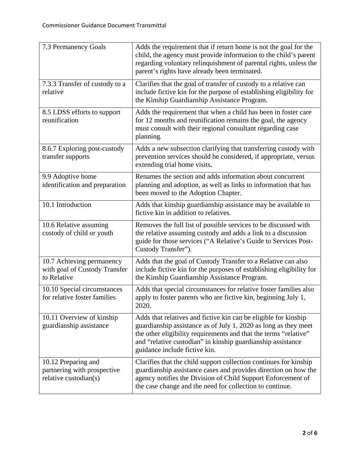| 7.3 Permanency Goals                                                        | Adds the requirement that if return home is not the goal for the<br>child, the agency must provide information to the child's parent<br>regarding voluntary relinquishment of parental rights, unless the<br>parent's rights have already been terminated.                                             |
|-----------------------------------------------------------------------------|--------------------------------------------------------------------------------------------------------------------------------------------------------------------------------------------------------------------------------------------------------------------------------------------------------|
| 7.3.3 Transfer of custody to a<br>relative                                  | Clarifies that the goal of transfer of custody to a relative can<br>include fictive kin for the purpose of establishing eligibility for<br>the Kinship Guardianship Assistance Program.                                                                                                                |
| 8.5 LDSS efforts to support<br>reunification                                | Adds the requirement that when a child has been in foster care<br>for 12 months and reunification remains the goal, the agency<br>must consult with their regional consultant regarding case<br>planning.                                                                                              |
| 8.6.7 Exploring post-custody<br>transfer supports                           | Adds a new subsection clarifying that transferring custody with<br>prevention services should be considered, if appropriate, versus<br>extending trial home visits.                                                                                                                                    |
| 9.9 Adoptive home<br>identification and preparation                         | Renames the section and adds information about concurrent<br>planning and adoption, as well as links to information that has<br>been moved to the Adoption Chapter.                                                                                                                                    |
| 10.1 Introduction                                                           | Adds that kinship guardianship assistance may be available to<br>fictive kin in addition to relatives.                                                                                                                                                                                                 |
| 10.6 Relative assuming<br>custody of child or youth                         | Removes the full list of possible services to be discussed with<br>the relative assuming custody and adds a link to a discussion<br>guide for those services ("A Relative's Guide to Services Post-<br>Custody Transfer").                                                                             |
| 10.7 Achieving permanency<br>with goal of Custody Transfer<br>to Relative   | Adds that the goal of Custody Transfer to a Relative can also<br>include fictive kin for the purposes of establishing eligibility for<br>the Kinship Guardianship Assistance Program.                                                                                                                  |
| 10.10 Special circumstances<br>for relative foster families                 | Adds that special circumstances for relative foster families also<br>apply to foster parents who are fictive kin, beginning July 1,<br>2020.                                                                                                                                                           |
| 10.11 Overview of kinship<br>guardianship assistance                        | Adds that relatives and fictive kin can be eligible for kinship<br>guardianship assistance as of July 1, 2020 as long as they meet<br>the other eligibility requirements and that the terms "relative"<br>and "relative custodian" in kinship guardianship assistance<br>guidance include fictive kin. |
| 10.12 Preparing and<br>partnering with prospective<br>relative custodian(s) | Clarifies that the child support collection continues for kinship<br>guardianship assistance cases and provides direction on how the<br>agency notifies the Division of Child Support Enforcement of<br>the case change and the need for collection to continue.                                       |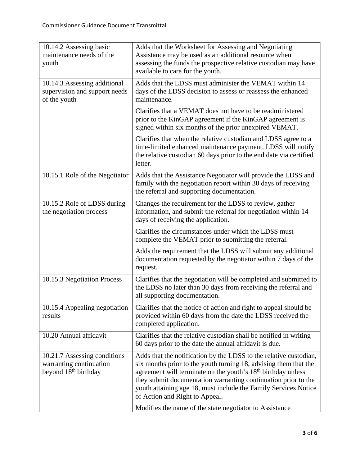| 10.14.2 Assessing basic<br>maintenance needs of the<br>youth                                | Adds that the Worksheet for Assessing and Negotiating<br>Assistance may be used as an additional resource when<br>assessing the funds the prospective relative custodian may have<br>available to care for the youth.                                                                                                                                                                                                                               |
|---------------------------------------------------------------------------------------------|-----------------------------------------------------------------------------------------------------------------------------------------------------------------------------------------------------------------------------------------------------------------------------------------------------------------------------------------------------------------------------------------------------------------------------------------------------|
| 10.14.3 Assessing additional<br>supervision and support needs<br>of the youth               | Adds that the LDSS must administer the VEMAT within 14<br>days of the LDSS decision to assess or reassess the enhanced<br>maintenance.                                                                                                                                                                                                                                                                                                              |
|                                                                                             | Clarifies that a VEMAT does not have to be readministered<br>prior to the KinGAP agreement if the KinGAP agreement is<br>signed within six months of the prior unexpired VEMAT.                                                                                                                                                                                                                                                                     |
|                                                                                             | Clarifies that when the relative custodian and LDSS agree to a<br>time-limited enhanced maintenance payment, LDSS will notify<br>the relative custodian 60 days prior to the end date via certified<br>letter.                                                                                                                                                                                                                                      |
| 10.15.1 Role of the Negotiator                                                              | Adds that the Assistance Negotiator will provide the LDSS and<br>family with the negotiation report within 30 days of receiving<br>the referral and supporting documentation.                                                                                                                                                                                                                                                                       |
| 10.15.2 Role of LDSS during<br>the negotiation process                                      | Changes the requirement for the LDSS to review, gather<br>information, and submit the referral for negotiation within 14<br>days of receiving the application.                                                                                                                                                                                                                                                                                      |
|                                                                                             | Clarifies the circumstances under which the LDSS must<br>complete the VEMAT prior to submitting the referral.                                                                                                                                                                                                                                                                                                                                       |
|                                                                                             | Adds the requirement that the LDSS will submit any additional<br>documentation requested by the negotiator within 7 days of the<br>request.                                                                                                                                                                                                                                                                                                         |
| 10.15.3 Negotiation Process                                                                 | Clarifies that the negotiation will be completed and submitted to<br>the LDSS no later than 30 days from receiving the referral and<br>all supporting documentation.                                                                                                                                                                                                                                                                                |
| 10.15.4 Appealing negotiation<br>results                                                    | Clarifies that the notice of action and right to appeal should be<br>provided within 60 days from the date the LDSS received the<br>completed application.                                                                                                                                                                                                                                                                                          |
| 10.20 Annual affidavit                                                                      | Clarifies that the relative custodian shall be notified in writing<br>60 days prior to the date the annual affidavit is due.                                                                                                                                                                                                                                                                                                                        |
| 10.21.7 Assessing conditions<br>warranting continuation<br>beyond 18 <sup>th</sup> birthday | Adds that the notification by the LDSS to the relative custodian,<br>six months prior to the youth turning 18, advising them that the<br>agreement will terminate on the youth's 18 <sup>th</sup> birthday unless<br>they submit documentation warranting continuation prior to the<br>youth attaining age 18, must include the Family Services Notice<br>of Action and Right to Appeal.<br>Modifies the name of the state negotiator to Assistance |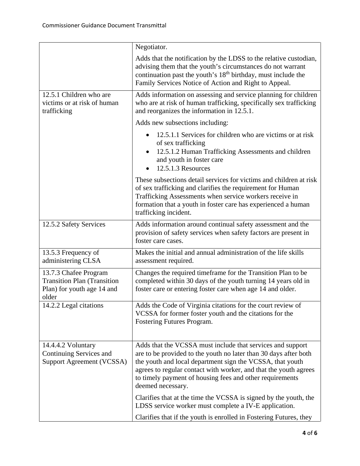|                                                                                                    | Negotiator.                                                                                                                                                                                                                                                                                                                                      |
|----------------------------------------------------------------------------------------------------|--------------------------------------------------------------------------------------------------------------------------------------------------------------------------------------------------------------------------------------------------------------------------------------------------------------------------------------------------|
|                                                                                                    | Adds that the notification by the LDSS to the relative custodian,<br>advising them that the youth's circumstances do not warrant<br>continuation past the youth's 18 <sup>th</sup> birthday, must include the<br>Family Services Notice of Action and Right to Appeal.                                                                           |
| 12.5.1 Children who are<br>victims or at risk of human<br>trafficking                              | Adds information on assessing and service planning for children<br>who are at risk of human trafficking, specifically sex trafficking<br>and reorganizes the information in 12.5.1.                                                                                                                                                              |
|                                                                                                    | Adds new subsections including:                                                                                                                                                                                                                                                                                                                  |
|                                                                                                    | 12.5.1.1 Services for children who are victims or at risk<br>of sex trafficking<br>12.5.1.2 Human Trafficking Assessments and children<br>and youth in foster care<br>12.5.1.3 Resources                                                                                                                                                         |
|                                                                                                    | These subsections detail services for victims and children at risk<br>of sex trafficking and clarifies the requirement for Human<br>Trafficking Assessments when service workers receive in<br>formation that a youth in foster care has experienced a human<br>trafficking incident.                                                            |
| 12.5.2 Safety Services                                                                             | Adds information around continual safety assessment and the<br>provision of safety services when safety factors are present in<br>foster care cases.                                                                                                                                                                                             |
| 13.5.3 Frequency of<br>administering CLSA                                                          | Makes the initial and annual administration of the life skills<br>assessment required.                                                                                                                                                                                                                                                           |
| 13.7.3 Chafee Program<br><b>Transition Plan (Transition</b><br>Plan) for youth age 14 and<br>older | Changes the required timeframe for the Transition Plan to be<br>completed within 30 days of the youth turning 14 years old in<br>foster care or entering foster care when age 14 and older.                                                                                                                                                      |
| 14.2.2 Legal citations                                                                             | Adds the Code of Virginia citations for the court review of<br>VCSSA for former foster youth and the citations for the<br>Fostering Futures Program.                                                                                                                                                                                             |
| 14.4.4.2 Voluntary<br>Continuing Services and<br>Support Agreement (VCSSA)                         | Adds that the VCSSA must include that services and support<br>are to be provided to the youth no later than 30 days after both<br>the youth and local department sign the VCSSA, that youth<br>agrees to regular contact with worker, and that the youth agrees<br>to timely payment of housing fees and other requirements<br>deemed necessary. |
|                                                                                                    | Clarifies that at the time the VCSSA is signed by the youth, the<br>LDSS service worker must complete a IV-E application.                                                                                                                                                                                                                        |
|                                                                                                    | Clarifies that if the youth is enrolled in Fostering Futures, they                                                                                                                                                                                                                                                                               |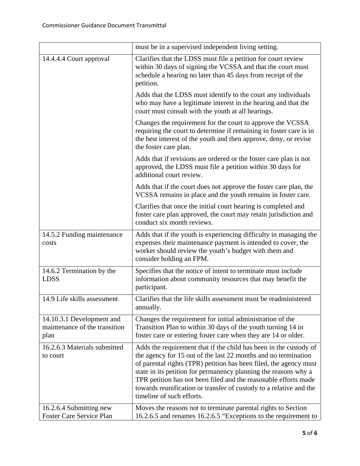|                                                                    | must be in a supervised independent living setting.                                                                                                                                                                                                                                                                                                                                                                                               |
|--------------------------------------------------------------------|---------------------------------------------------------------------------------------------------------------------------------------------------------------------------------------------------------------------------------------------------------------------------------------------------------------------------------------------------------------------------------------------------------------------------------------------------|
| 14.4.4.4 Court approval                                            | Clarifies that the LDSS must file a petition for court review<br>within 30 days of signing the VCSSA and that the court must<br>schedule a hearing no later than 45 days from receipt of the<br>petition.                                                                                                                                                                                                                                         |
|                                                                    | Adds that the LDSS must identify to the court any individuals<br>who may have a legitimate interest in the hearing and that the<br>court must consult with the youth at all hearings.                                                                                                                                                                                                                                                             |
|                                                                    | Changes the requirement for the court to approve the VCSSA<br>requiring the court to determine if remaining in foster care is in<br>the best interest of the youth and then approve, deny, or revise<br>the foster care plan.                                                                                                                                                                                                                     |
|                                                                    | Adds that if revisions are ordered or the foster care plan is not<br>approved, the LDSS must file a petition within 30 days for<br>additional court review.                                                                                                                                                                                                                                                                                       |
|                                                                    | Adds that if the court does not approve the foster care plan, the<br>VCSSA remains in place and the youth remains in foster care.                                                                                                                                                                                                                                                                                                                 |
|                                                                    | Clarifies that once the initial court hearing is completed and<br>foster care plan approved, the court may retain jurisdiction and<br>conduct six month reviews.                                                                                                                                                                                                                                                                                  |
| 14.5.2 Funding maintenance<br>costs                                | Adds that if the youth is experiencing difficulty in managing the<br>expenses their maintenance payment is intended to cover, the<br>worker should review the youth's budget with them and<br>consider holding an FPM.                                                                                                                                                                                                                            |
| 14.6.2 Termination by the<br><b>LDSS</b>                           | Specifies that the notice of intent to terminate must include<br>information about community resources that may benefit the<br>participant.                                                                                                                                                                                                                                                                                                       |
| 14.9 Life skills assessment                                        | Clarifies that the life skills assessment must be readministered<br>annually.                                                                                                                                                                                                                                                                                                                                                                     |
| 14.10.3.1 Development and<br>maintenance of the transition<br>plan | Changes the requirement for initial administration of the<br>Transition Plan to within 30 days of the youth turning 14 in<br>foster care or entering foster care when they are 14 or older.                                                                                                                                                                                                                                                       |
| 16.2.6.3 Materials submitted<br>to court                           | Adds the requirement that if the child has been in the custody of<br>the agency for 15 out of the last 22 months and no termination<br>of parental rights (TPR) petition has been filed, the agency must<br>state in its petition for permanency planning the reasons why a<br>TPR petition has not been filed and the reasonable efforts made<br>towards reunification or transfer of custody to a relative and the<br>timeline of such efforts. |
| 16.2.6.4 Submitting new<br>Foster Care Service Plan                | Moves the reasons not to terminate parental rights to Section<br>16.2.6.5 and renames 16.2.6.5 "Exceptions to the requirement to                                                                                                                                                                                                                                                                                                                  |